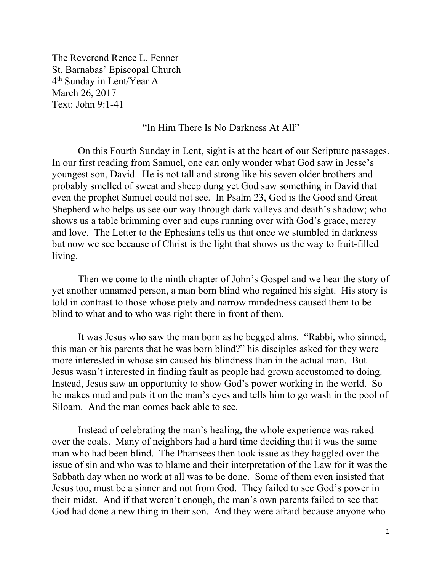The Reverend Renee L. Fenner St. Barnabas' Episcopal Church 4th Sunday in Lent/Year A March 26, 2017 Text: John 9:1-41

## "In Him There Is No Darkness At All"

 On this Fourth Sunday in Lent, sight is at the heart of our Scripture passages. In our first reading from Samuel, one can only wonder what God saw in Jesse's youngest son, David. He is not tall and strong like his seven older brothers and probably smelled of sweat and sheep dung yet God saw something in David that even the prophet Samuel could not see. In Psalm 23, God is the Good and Great Shepherd who helps us see our way through dark valleys and death's shadow; who shows us a table brimming over and cups running over with God's grace, mercy and love. The Letter to the Ephesians tells us that once we stumbled in darkness but now we see because of Christ is the light that shows us the way to fruit-filled living.

Then we come to the ninth chapter of John's Gospel and we hear the story of yet another unnamed person, a man born blind who regained his sight. His story is told in contrast to those whose piety and narrow mindedness caused them to be blind to what and to who was right there in front of them.

It was Jesus who saw the man born as he begged alms. "Rabbi, who sinned, this man or his parents that he was born blind?" his disciples asked for they were more interested in whose sin caused his blindness than in the actual man. But Jesus wasn't interested in finding fault as people had grown accustomed to doing. Instead, Jesus saw an opportunity to show God's power working in the world. So he makes mud and puts it on the man's eyes and tells him to go wash in the pool of Siloam. And the man comes back able to see.

Instead of celebrating the man's healing, the whole experience was raked over the coals. Many of neighbors had a hard time deciding that it was the same man who had been blind. The Pharisees then took issue as they haggled over the issue of sin and who was to blame and their interpretation of the Law for it was the Sabbath day when no work at all was to be done. Some of them even insisted that Jesus too, must be a sinner and not from God. They failed to see God's power in their midst. And if that weren't enough, the man's own parents failed to see that God had done a new thing in their son. And they were afraid because anyone who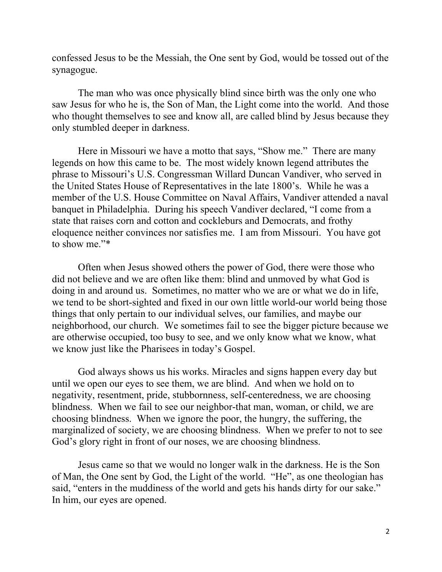confessed Jesus to be the Messiah, the One sent by God, would be tossed out of the synagogue.

 The man who was once physically blind since birth was the only one who saw Jesus for who he is, the Son of Man, the Light come into the world. And those who thought themselves to see and know all, are called blind by Jesus because they only stumbled deeper in darkness.

 Here in Missouri we have a motto that says, "Show me." There are many legends on how this came to be. The most widely known legend attributes the phrase to Missouri's U.S. Congressman Willard Duncan Vandiver, who served in the United States House of Representatives in the late 1800's. While he was a member of the U.S. House Committee on Naval Affairs, Vandiver attended a naval banquet in Philadelphia. During his speech Vandiver declared, "I come from a state that raises corn and cotton and cockleburs and Democrats, and frothy eloquence neither convinces nor satisfies me. I am from Missouri. You have got to show me."\*

Often when Jesus showed others the power of God, there were those who did not believe and we are often like them: blind and unmoved by what God is doing in and around us. Sometimes, no matter who we are or what we do in life, we tend to be short-sighted and fixed in our own little world-our world being those things that only pertain to our individual selves, our families, and maybe our neighborhood, our church. We sometimes fail to see the bigger picture because we are otherwise occupied, too busy to see, and we only know what we know, what we know just like the Pharisees in today's Gospel.

God always shows us his works. Miracles and signs happen every day but until we open our eyes to see them, we are blind. And when we hold on to negativity, resentment, pride, stubbornness, self-centeredness, we are choosing blindness. When we fail to see our neighbor-that man, woman, or child, we are choosing blindness. When we ignore the poor, the hungry, the suffering, the marginalized of society, we are choosing blindness. When we prefer to not to see God's glory right in front of our noses, we are choosing blindness.

Jesus came so that we would no longer walk in the darkness. He is the Son of Man, the One sent by God, the Light of the world. "He", as one theologian has said, "enters in the muddiness of the world and gets his hands dirty for our sake." In him, our eyes are opened.